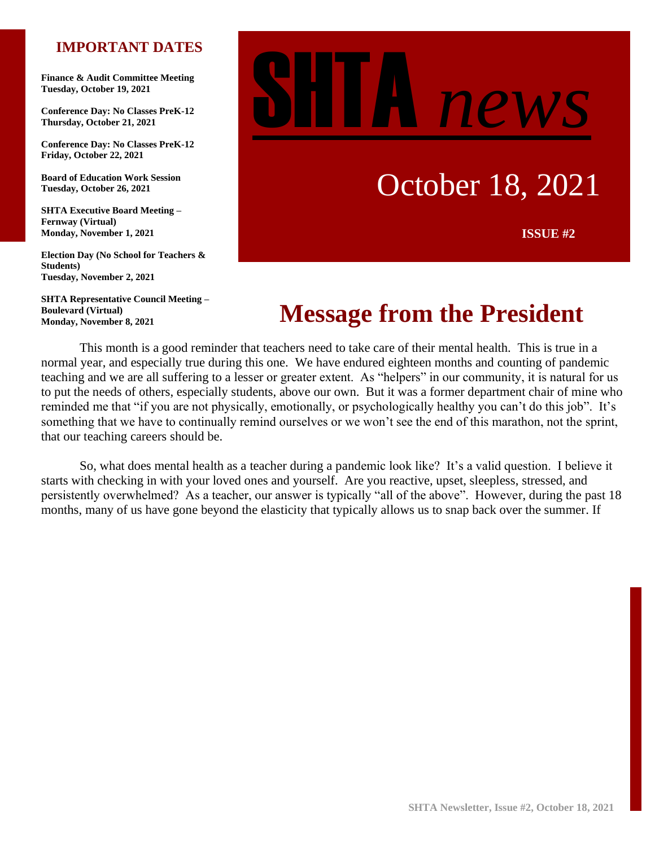## **IMPORTANT DATES**

**Finance & Audit Committee Meeting Tuesday, October 19, 2021**

**Conference Day: No Classes PreK-12 Thursday, October 21, 2021**

**Conference Day: No Classes PreK-12 Friday, October 22, 2021**

**Board of Education Work Session Tuesday, October 26, 2021**

**SHTA Executive Board Meeting – Fernway (Virtual) Monday, November 1, 2021**

**Election Day (No School for Teachers & Students) Tuesday, November 2, 2021**

**SHTA Representative Council Meeting – Boulevard (Virtual) Monday, November 8, 2021**

# new.

# October 18, 2021

**ISSUE #2**

# **Message from the President**

This month is a good reminder that teachers need to take care of their mental health. This is true in a normal year, and especially true during this one. We have endured eighteen months and counting of pandemic teaching and we are all suffering to a lesser or greater extent. As "helpers" in our community, it is natural for us to put the needs of others, especially students, above our own. But it was a former department chair of mine who reminded me that "if you are not physically, emotionally, or psychologically healthy you can't do this job". It's something that we have to continually remind ourselves or we won't see the end of this marathon, not the sprint, that our teaching careers should be.

So, what does mental health as a teacher during a pandemic look like? It's a valid question. I believe it starts with checking in with your loved ones and yourself. Are you reactive, upset, sleepless, stressed, and persistently overwhelmed? As a teacher, our answer is typically "all of the above". However, during the past 18 months, many of us have gone beyond the elasticity that typically allows us to snap back over the summer. If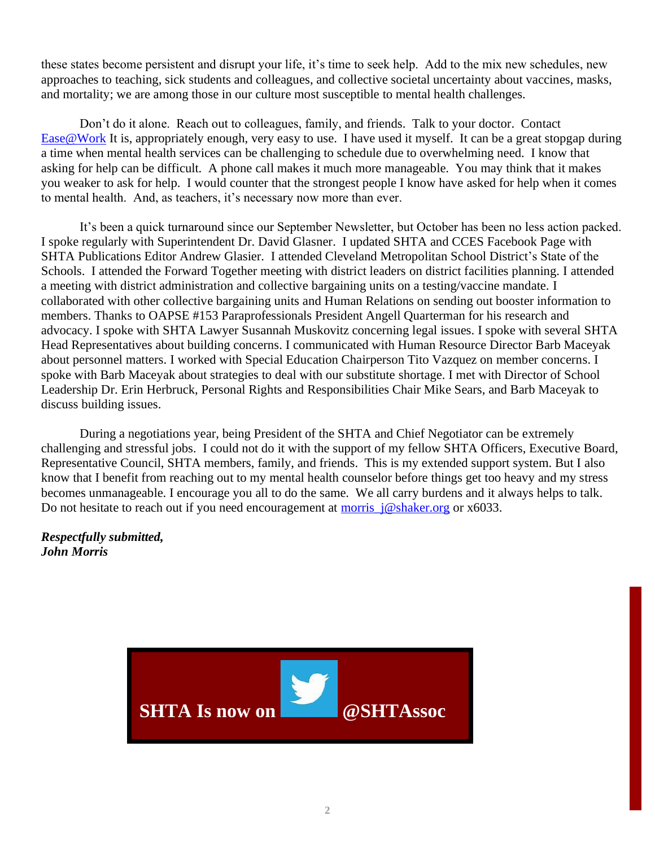these states become persistent and disrupt your life, it's time to seek help. Add to the mix new schedules, new approaches to teaching, sick students and colleagues, and collective societal uncertainty about vaccines, masks, and mortality; we are among those in our culture most susceptible to mental health challenges.

Don't do it alone. Reach out to colleagues, family, and friends. Talk to your doctor. Contact [Ease@Work](https://www.shaker.org/EmployeeAssistance.aspx) It is, appropriately enough, very easy to use. I have used it myself. It can be a great stopgap during a time when mental health services can be challenging to schedule due to overwhelming need. I know that asking for help can be difficult. A phone call makes it much more manageable. You may think that it makes you weaker to ask for help. I would counter that the strongest people I know have asked for help when it comes to mental health. And, as teachers, it's necessary now more than ever.

It's been a quick turnaround since our September Newsletter, but October has been no less action packed. I spoke regularly with Superintendent Dr. David Glasner. I updated SHTA and CCES Facebook Page with SHTA Publications Editor Andrew Glasier. I attended Cleveland Metropolitan School District's State of the Schools. I attended the Forward Together meeting with district leaders on district facilities planning. I attended a meeting with district administration and collective bargaining units on a testing/vaccine mandate. I collaborated with other collective bargaining units and Human Relations on sending out booster information to members. Thanks to OAPSE #153 Paraprofessionals President Angell Quarterman for his research and advocacy. I spoke with SHTA Lawyer Susannah Muskovitz concerning legal issues. I spoke with several SHTA Head Representatives about building concerns. I communicated with Human Resource Director Barb Maceyak about personnel matters. I worked with Special Education Chairperson Tito Vazquez on member concerns. I spoke with Barb Maceyak about strategies to deal with our substitute shortage. I met with Director of School Leadership Dr. Erin Herbruck, Personal Rights and Responsibilities Chair Mike Sears, and Barb Maceyak to discuss building issues.

During a negotiations year, being President of the SHTA and Chief Negotiator can be extremely challenging and stressful jobs. I could not do it with the support of my fellow SHTA Officers, Executive Board, Representative Council, SHTA members, family, and friends. This is my extended support system. But I also know that I benefit from reaching out to my mental health counselor before things get too heavy and my stress becomes unmanageable. I encourage you all to do the same. We all carry burdens and it always helps to talk. Do not hesitate to reach out if you need encouragement at morris  $j@shaker.org$  or x6033.

*Respectfully submitted, John Morris*

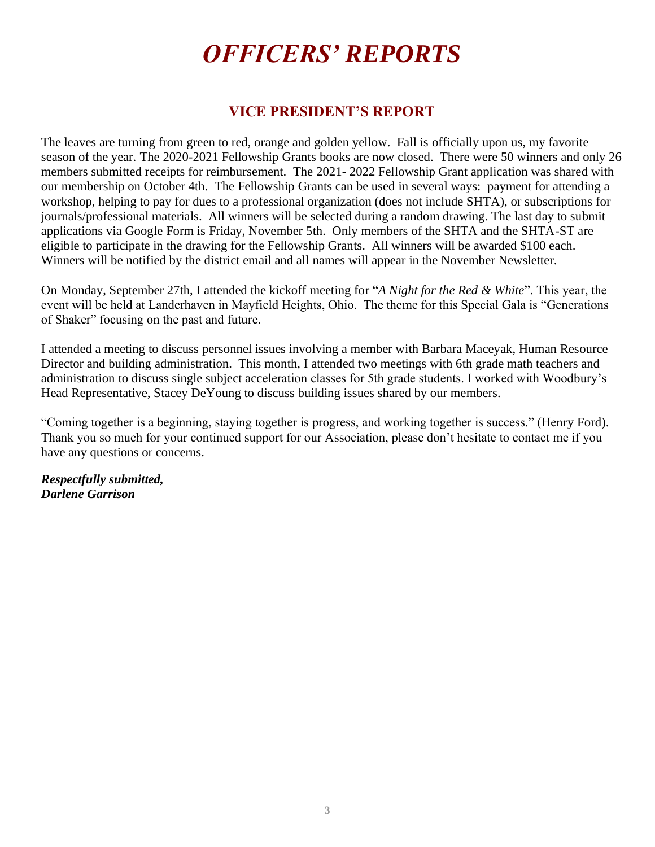# *OFFICERS' REPORTS*

## **VICE PRESIDENT'S REPORT**

The leaves are turning from green to red, orange and golden yellow. Fall is officially upon us, my favorite season of the year. The 2020-2021 Fellowship Grants books are now closed. There were 50 winners and only 26 members submitted receipts for reimbursement. The 2021- 2022 Fellowship Grant application was shared with our membership on October 4th. The Fellowship Grants can be used in several ways: payment for attending a workshop, helping to pay for dues to a professional organization (does not include SHTA), or subscriptions for journals/professional materials. All winners will be selected during a random drawing. The last day to submit applications via Google Form is Friday, November 5th. Only members of the SHTA and the SHTA-ST are eligible to participate in the drawing for the Fellowship Grants. All winners will be awarded \$100 each. Winners will be notified by the district email and all names will appear in the November Newsletter.

On Monday, September 27th, I attended the kickoff meeting for "*A Night for the Red & White*". This year, the event will be held at Landerhaven in Mayfield Heights, Ohio. The theme for this Special Gala is "Generations of Shaker" focusing on the past and future.

I attended a meeting to discuss personnel issues involving a member with Barbara Maceyak, Human Resource Director and building administration. This month, I attended two meetings with 6th grade math teachers and administration to discuss single subject acceleration classes for 5th grade students. I worked with Woodbury's Head Representative, Stacey DeYoung to discuss building issues shared by our members.

"Coming together is a beginning, staying together is progress, and working together is success." (Henry Ford). Thank you so much for your continued support for our Association, please don't hesitate to contact me if you have any questions or concerns.

*Respectfully submitted, Darlene Garrison*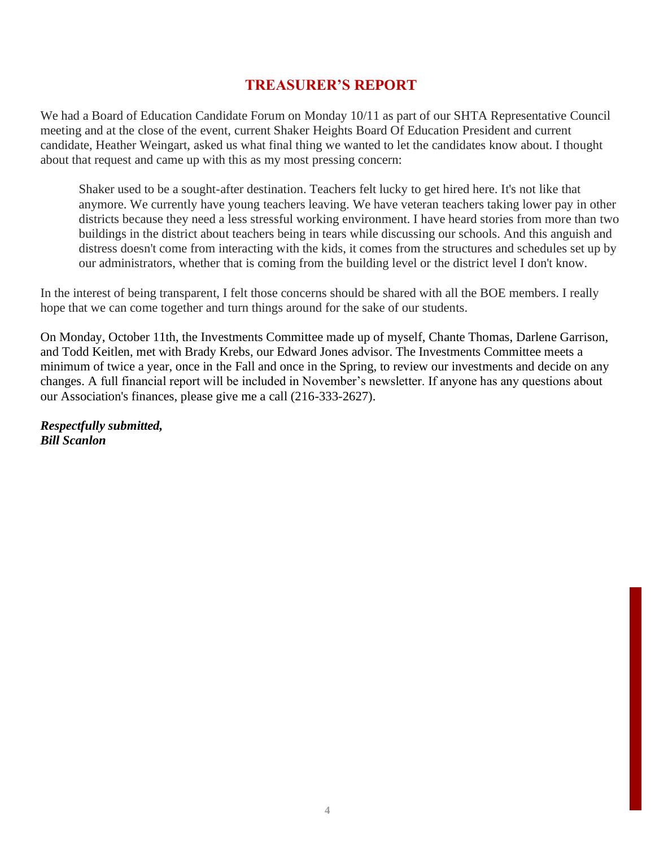## **TREASURER'S REPORT**

We had a Board of Education Candidate Forum on Monday 10/11 as part of our SHTA Representative Council meeting and at the close of the event, current Shaker Heights Board Of Education President and current candidate, Heather Weingart, asked us what final thing we wanted to let the candidates know about. I thought about that request and came up with this as my most pressing concern:

Shaker used to be a sought-after destination. Teachers felt lucky to get hired here. It's not like that anymore. We currently have young teachers leaving. We have veteran teachers taking lower pay in other districts because they need a less stressful working environment. I have heard stories from more than two buildings in the district about teachers being in tears while discussing our schools. And this anguish and distress doesn't come from interacting with the kids, it comes from the structures and schedules set up by our administrators, whether that is coming from the building level or the district level I don't know.

In the interest of being transparent, I felt those concerns should be shared with all the BOE members. I really hope that we can come together and turn things around for the sake of our students.

On Monday, October 11th, the Investments Committee made up of myself, Chante Thomas, Darlene Garrison, and Todd Keitlen, met with Brady Krebs, our Edward Jones advisor. The Investments Committee meets a minimum of twice a year, once in the Fall and once in the Spring, to review our investments and decide on any changes. A full financial report will be included in November's newsletter. If anyone has any questions about our Association's finances, please give me a call (216-333-2627).

*Respectfully submitted, Bill Scanlon*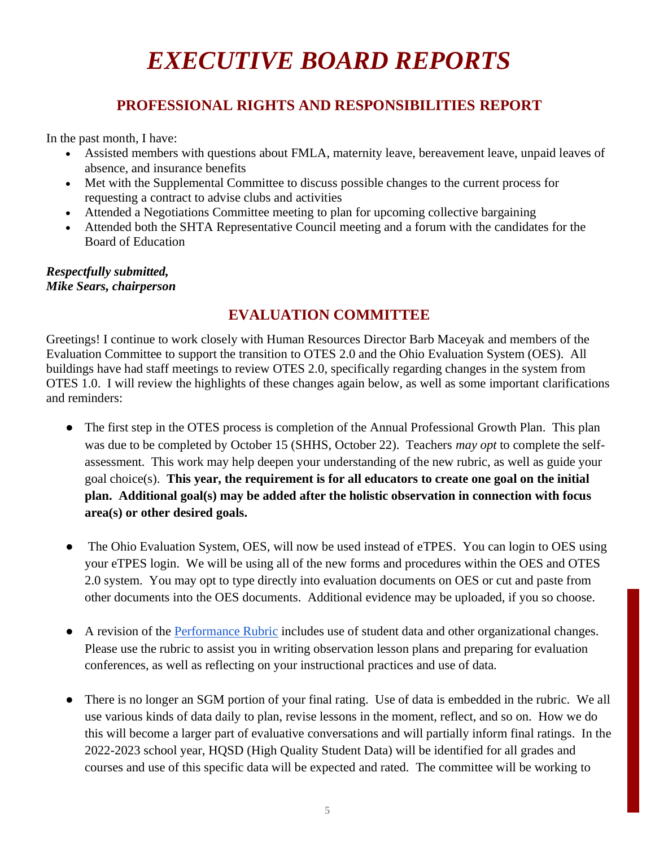# *EXECUTIVE BOARD REPORTS*

# **PROFESSIONAL RIGHTS AND RESPONSIBILITIES REPORT**

In the past month, I have:

- Assisted members with questions about FMLA, maternity leave, bereavement leave, unpaid leaves of absence, and insurance benefits
- Met with the Supplemental Committee to discuss possible changes to the current process for requesting a contract to advise clubs and activities
- Attended a Negotiations Committee meeting to plan for upcoming collective bargaining
- Attended both the SHTA Representative Council meeting and a forum with the candidates for the Board of Education

#### *Respectfully submitted, Mike Sears, chairperson*

# **EVALUATION COMMITTEE**

Greetings! I continue to work closely with Human Resources Director Barb Maceyak and members of the Evaluation Committee to support the transition to OTES 2.0 and the Ohio Evaluation System (OES). All buildings have had staff meetings to review OTES 2.0, specifically regarding changes in the system from OTES 1.0. I will review the highlights of these changes again below, as well as some important clarifications and reminders:

- The first step in the OTES process is completion of the Annual Professional Growth Plan. This plan was due to be completed by October 15 (SHHS, October 22). Teachers *may opt* to complete the selfassessment. This work may help deepen your understanding of the new rubric, as well as guide your goal choice(s). **This year, the requirement is for all educators to create one goal on the initial plan. Additional goal(s) may be added after the holistic observation in connection with focus area(s) or other desired goals.**
- The Ohio Evaluation System, OES, will now be used instead of eTPES. You can login to OES using your eTPES login. We will be using all of the new forms and procedures within the OES and OTES 2.0 system. You may opt to type directly into evaluation documents on OES or cut and paste from other documents into the OES documents. Additional evidence may be uploaded, if you so choose.
- A revision of the Performance Rubric includes use of student data and other organizational changes. Please use the rubric to assist you in writing observation lesson plans and preparing for evaluation conferences, as well as reflecting on your instructional practices and use of data.
- There is no longer an SGM portion of your final rating. Use of data is embedded in the rubric. We all use various kinds of data daily to plan, revise lessons in the moment, reflect, and so on. How we do this will become a larger part of evaluative conversations and will partially inform final ratings. In the 2022-2023 school year, HQSD (High Quality Student Data) will be identified for all grades and courses and use of this specific data will be expected and rated. The committee will be working to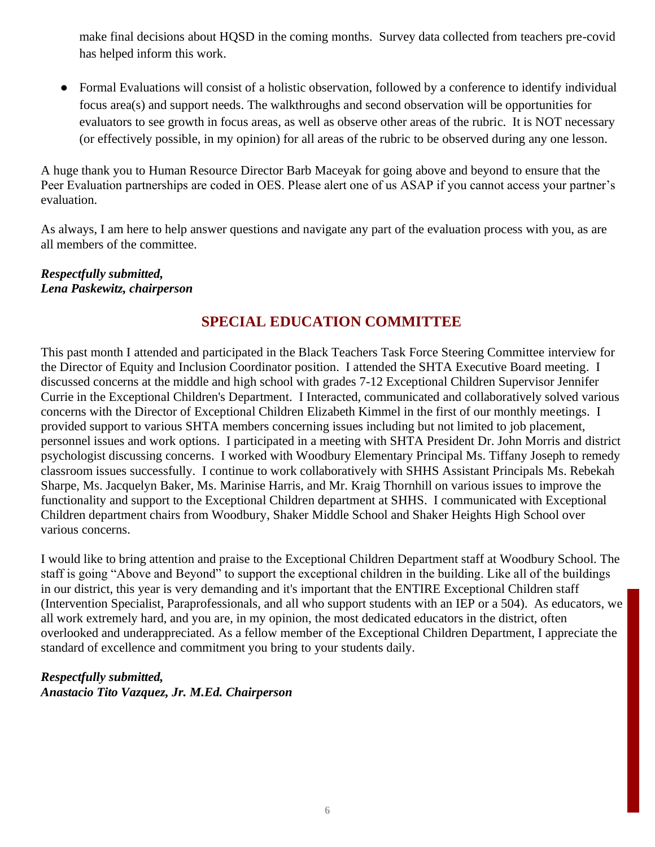make final decisions about HQSD in the coming months. Survey data collected from teachers pre-covid has helped inform this work.

Formal Evaluations will consist of a holistic observation, followed by a conference to identify individual focus area(s) and support needs. The walkthroughs and second observation will be opportunities for evaluators to see growth in focus areas, as well as observe other areas of the rubric. It is NOT necessary (or effectively possible, in my opinion) for all areas of the rubric to be observed during any one lesson.

A huge thank you to Human Resource Director Barb Maceyak for going above and beyond to ensure that the Peer Evaluation partnerships are coded in OES. Please alert one of us ASAP if you cannot access your partner's evaluation.

As always, I am here to help answer questions and navigate any part of the evaluation process with you, as are all members of the committee.

#### *Respectfully submitted, Lena Paskewitz, chairperson*

# **SPECIAL EDUCATION COMMITTEE**

This past month I attended and participated in the Black Teachers Task Force Steering Committee interview for the Director of Equity and Inclusion Coordinator position. I attended the SHTA Executive Board meeting. I discussed concerns at the middle and high school with grades 7-12 Exceptional Children Supervisor Jennifer Currie in the Exceptional Children's Department. I Interacted, communicated and collaboratively solved various concerns with the Director of Exceptional Children Elizabeth Kimmel in the first of our monthly meetings. I provided support to various SHTA members concerning issues including but not limited to job placement, personnel issues and work options. I participated in a meeting with SHTA President Dr. John Morris and district psychologist discussing concerns. I worked with Woodbury Elementary Principal Ms. Tiffany Joseph to remedy classroom issues successfully. I continue to work collaboratively with SHHS Assistant Principals Ms. Rebekah Sharpe, Ms. Jacquelyn Baker, Ms. Marinise Harris, and Mr. Kraig Thornhill on various issues to improve the functionality and support to the Exceptional Children department at SHHS. I communicated with Exceptional Children department chairs from Woodbury, Shaker Middle School and Shaker Heights High School over various concerns.

I would like to bring attention and praise to the Exceptional Children Department staff at Woodbury School. The staff is going "Above and Beyond" to support the exceptional children in the building. Like all of the buildings in our district, this year is very demanding and it's important that the ENTIRE Exceptional Children staff (Intervention Specialist, Paraprofessionals, and all who support students with an IEP or a 504). As educators, we all work extremely hard, and you are, in my opinion, the most dedicated educators in the district, often overlooked and underappreciated. As a fellow member of the Exceptional Children Department, I appreciate the standard of excellence and commitment you bring to your students daily.

#### *Respectfully submitted, Anastacio Tito Vazquez, Jr. M.Ed. Chairperson*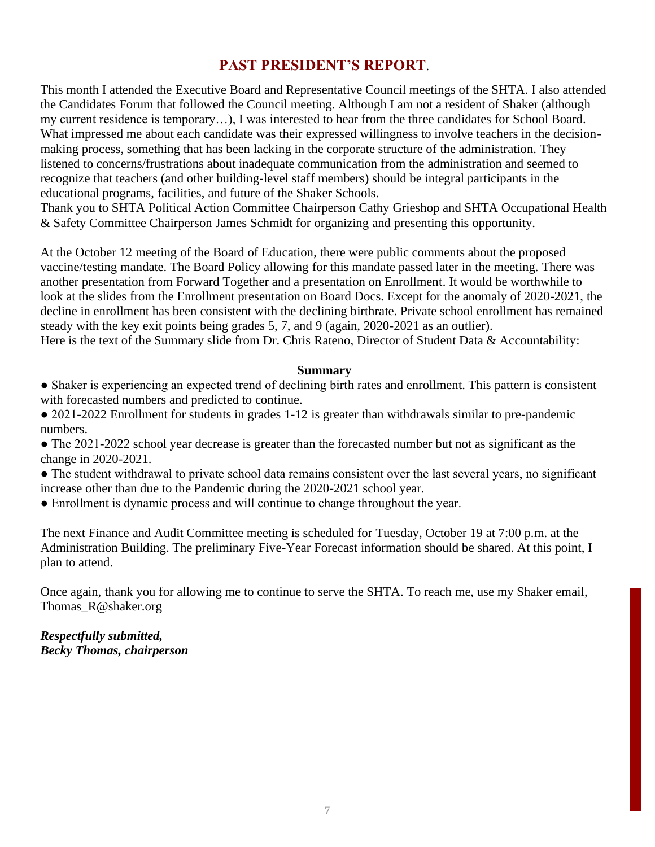# **PAST PRESIDENT'S REPORT**.

This month I attended the Executive Board and Representative Council meetings of the SHTA. I also attended the Candidates Forum that followed the Council meeting. Although I am not a resident of Shaker (although my current residence is temporary…), I was interested to hear from the three candidates for School Board. What impressed me about each candidate was their expressed willingness to involve teachers in the decisionmaking process, something that has been lacking in the corporate structure of the administration. They listened to concerns/frustrations about inadequate communication from the administration and seemed to recognize that teachers (and other building-level staff members) should be integral participants in the educational programs, facilities, and future of the Shaker Schools.

Thank you to SHTA Political Action Committee Chairperson Cathy Grieshop and SHTA Occupational Health & Safety Committee Chairperson James Schmidt for organizing and presenting this opportunity.

At the October 12 meeting of the Board of Education, there were public comments about the proposed vaccine/testing mandate. The Board Policy allowing for this mandate passed later in the meeting. There was another presentation from Forward Together and a presentation on Enrollment. It would be worthwhile to look at the slides from the Enrollment presentation on Board Docs. Except for the anomaly of 2020-2021, the decline in enrollment has been consistent with the declining birthrate. Private school enrollment has remained steady with the key exit points being grades 5, 7, and 9 (again, 2020-2021 as an outlier). Here is the text of the Summary slide from Dr. Chris Rateno, Director of Student Data & Accountability:

#### **Summary**

- Shaker is experiencing an expected trend of declining birth rates and enrollment. This pattern is consistent with forecasted numbers and predicted to continue.
- 2021-2022 Enrollment for students in grades 1-12 is greater than withdrawals similar to pre-pandemic numbers.
- The 2021-2022 school year decrease is greater than the forecasted number but not as significant as the change in 2020-2021.
- The student withdrawal to private school data remains consistent over the last several years, no significant increase other than due to the Pandemic during the 2020-2021 school year.
- Enrollment is dynamic process and will continue to change throughout the year.

The next Finance and Audit Committee meeting is scheduled for Tuesday, October 19 at 7:00 p.m. at the Administration Building. The preliminary Five-Year Forecast information should be shared. At this point, I plan to attend.

Once again, thank you for allowing me to continue to serve the SHTA. To reach me, use my Shaker email, Thomas\_R@shaker.org

*Respectfully submitted, Becky Thomas, chairperson*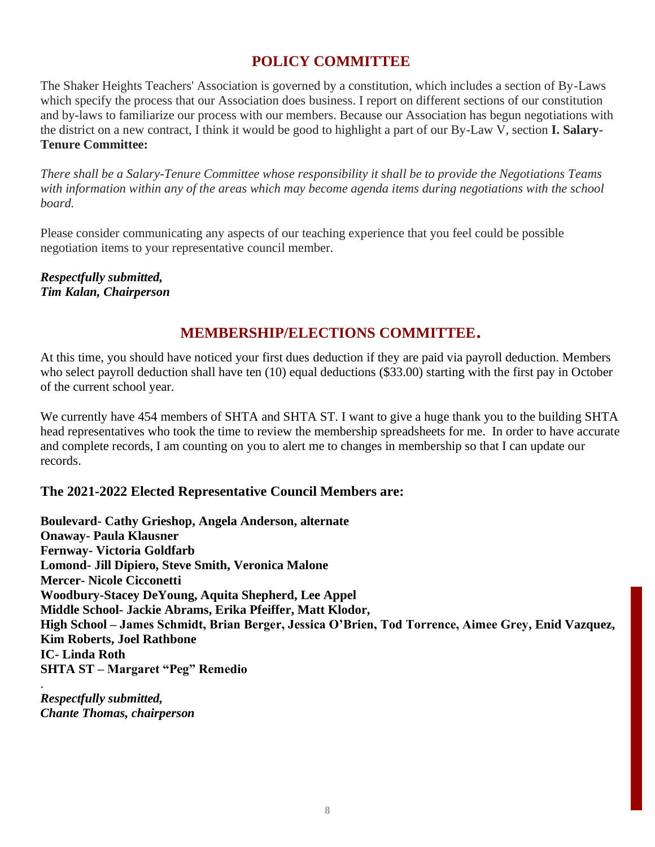# **POLICY COMMITTEE**

The Shaker Heights Teachers' Association is governed by a constitution, which includes a section of By-Laws which specify the process that our Association does business. I report on different sections of our constitution and by-laws to familiarize our process with our members. Because our Association has begun negotiations with the district on a new contract, I think it would be good to highlight a part of our By-Law V, section **I. Salary-Tenure Committee:**

*There shall be a Salary-Tenure Committee whose responsibility it shall be to provide the Negotiations Teams with information within any of the areas which may become agenda items during negotiations with the school board.*

Please consider communicating any aspects of our teaching experience that you feel could be possible negotiation items to your representative council member.

*Respectfully submitted, Tim Kalan, Chairperson*

# **MEMBERSHIP/ELECTIONS COMMITTEE**.

At this time, you should have noticed your first dues deduction if they are paid via payroll deduction. Members who select payroll deduction shall have ten (10) equal deductions (\$33.00) starting with the first pay in October of the current school year.

We currently have 454 members of SHTA and SHTA ST. I want to give a huge thank you to the building SHTA head representatives who took the time to review the membership spreadsheets for me. In order to have accurate and complete records, I am counting on you to alert me to changes in membership so that I can update our records.

#### **The 2021-2022 Elected Representative Council Members are:**

**Boulevard- Cathy Grieshop, Angela Anderson, alternate Onaway- Paula Klausner Fernway- Victoria Goldfarb Lomond- Jill Dipiero, Steve Smith, Veronica Malone Mercer- Nicole Cicconetti Woodbury-Stacey DeYoung, Aquita Shepherd, Lee Appel Middle School- Jackie Abrams, Erika Pfeiffer, Matt Klodor, High School – James Schmidt, Brian Berger, Jessica O'Brien, Tod Torrence, Aimee Grey, Enid Vazquez, Kim Roberts, Joel Rathbone IC- Linda Roth SHTA ST – Margaret "Peg" Remedio** .

*Respectfully submitted, Chante Thomas, chairperson*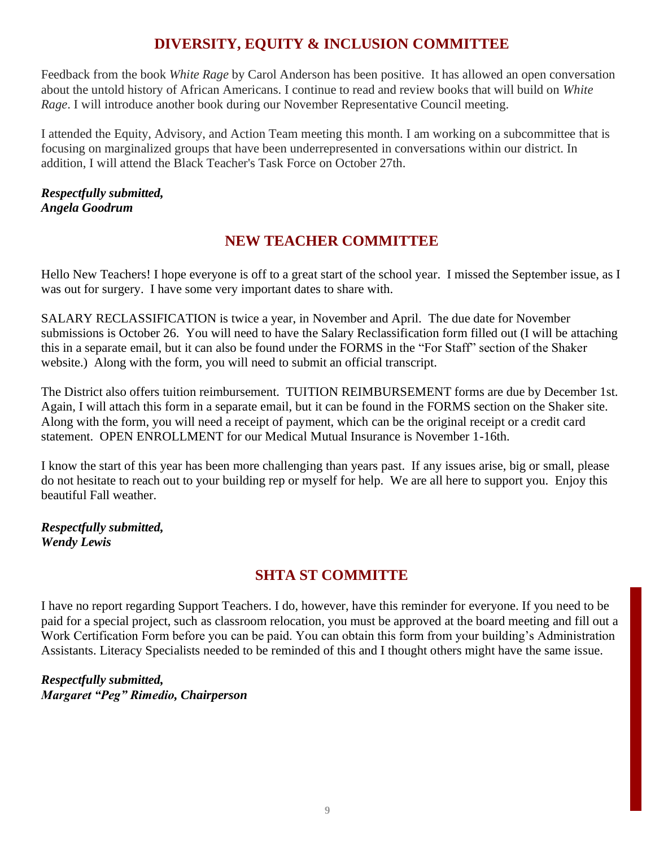# **DIVERSITY, EQUITY & INCLUSION COMMITTEE**

Feedback from the book *White Rage* by Carol Anderson has been positive. It has allowed an open conversation about the untold history of African Americans. I continue to read and review books that will build on *White Rage*. I will introduce another book during our November Representative Council meeting.

I attended the Equity, Advisory, and Action Team meeting this month. I am working on a subcommittee that is focusing on marginalized groups that have been underrepresented in conversations within our district. In addition, I will attend the Black Teacher's Task Force on October 27th.

#### *Respectfully submitted, Angela Goodrum*

# **NEW TEACHER COMMITTEE**

Hello New Teachers! I hope everyone is off to a great start of the school year. I missed the September issue, as I was out for surgery. I have some very important dates to share with.

SALARY RECLASSIFICATION is twice a year, in November and April. The due date for November submissions is October 26. You will need to have the Salary Reclassification form filled out (I will be attaching this in a separate email, but it can also be found under the FORMS in the "For Staff" section of the Shaker website.) Along with the form, you will need to submit an official transcript.

The District also offers tuition reimbursement. TUITION REIMBURSEMENT forms are due by December 1st. Again, I will attach this form in a separate email, but it can be found in the FORMS section on the Shaker site. Along with the form, you will need a receipt of payment, which can be the original receipt or a credit card statement. OPEN ENROLLMENT for our Medical Mutual Insurance is November 1-16th.

I know the start of this year has been more challenging than years past. If any issues arise, big or small, please do not hesitate to reach out to your building rep or myself for help. We are all here to support you. Enjoy this beautiful Fall weather.

*Respectfully submitted, Wendy Lewis*

# **SHTA ST COMMITTE**

I have no report regarding Support Teachers. I do, however, have this reminder for everyone. If you need to be paid for a special project, such as classroom relocation, you must be approved at the board meeting and fill out a Work Certification Form before you can be paid. You can obtain this form from your building's Administration Assistants. Literacy Specialists needed to be reminded of this and I thought others might have the same issue.

*Respectfully submitted, Margaret "Peg" Rimedio, Chairperson*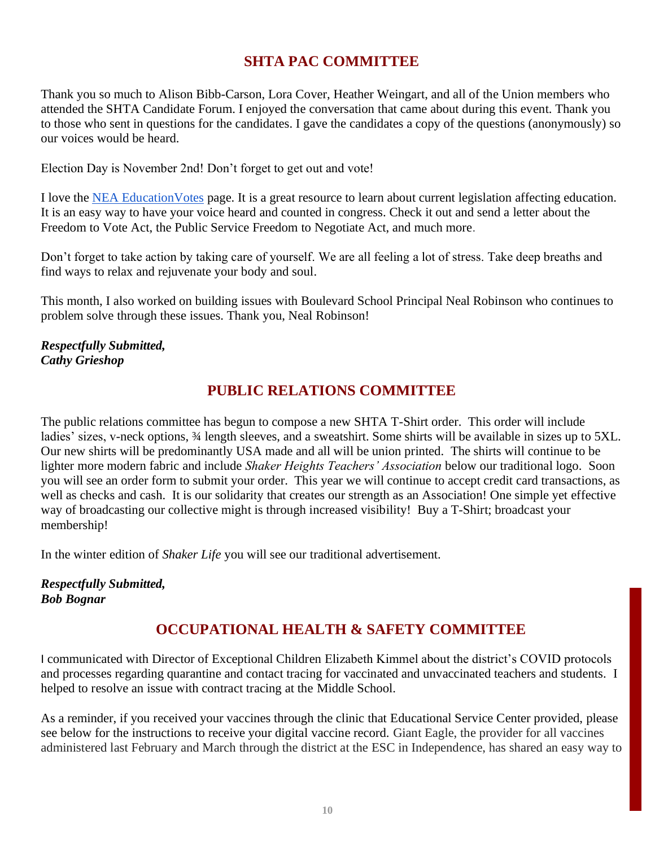# **SHTA PAC COMMITTEE**

Thank you so much to Alison Bibb-Carson, Lora Cover, Heather Weingart, and all of the Union members who attended the SHTA Candidate Forum. I enjoyed the conversation that came about during this event. Thank you to those who sent in questions for the candidates. I gave the candidates a copy of the questions (anonymously) so our voices would be heard.

Election Day is November 2nd! Don't forget to get out and vote!

I love the NEA Education Votes page. It is a great resource to learn about current legislation affecting education. It is an easy way to have your voice heard and counted in congress. Check it out and send a letter about the Freedom to Vote Act, the Public Service Freedom to Negotiate Act, and much more.

Don't forget to take action by taking care of yourself. We are all feeling a lot of stress. Take deep breaths and find ways to relax and rejuvenate your body and soul.

This month, I also worked on building issues with Boulevard School Principal Neal Robinson who continues to problem solve through these issues. Thank you, Neal Robinson!

#### *Respectfully Submitted, Cathy Grieshop*

# **PUBLIC RELATIONS COMMITTEE**

The public relations committee has begun to compose a new SHTA T-Shirt order. This order will include ladies' sizes, v-neck options,  $\frac{3}{4}$  length sleeves, and a sweatshirt. Some shirts will be available in sizes up to 5XL. Our new shirts will be predominantly USA made and all will be union printed. The shirts will continue to be lighter more modern fabric and include *Shaker Heights Teachers' Association* below our traditional logo. Soon you will see an order form to submit your order. This year we will continue to accept credit card transactions, as well as checks and cash. It is our solidarity that creates our strength as an Association! One simple yet effective way of broadcasting our collective might is through increased visibility! Buy a T-Shirt; broadcast your membership!

In the winter edition of *Shaker Life* you will see our traditional advertisement.

#### *Respectfully Submitted, Bob Bognar*

# **OCCUPATIONAL HEALTH & SAFETY COMMITTEE**

I communicated with Director of Exceptional Children Elizabeth Kimmel about the district's COVID protocols and processes regarding quarantine and contact tracing for vaccinated and unvaccinated teachers and students. I helped to resolve an issue with contract tracing at the Middle School.

As a reminder, if you received your vaccines through the clinic that Educational Service Center provided, please see below for the instructions to receive your digital vaccine record. Giant Eagle, the provider for all vaccines administered last February and March through the district at the ESC in Independence, has shared an easy way to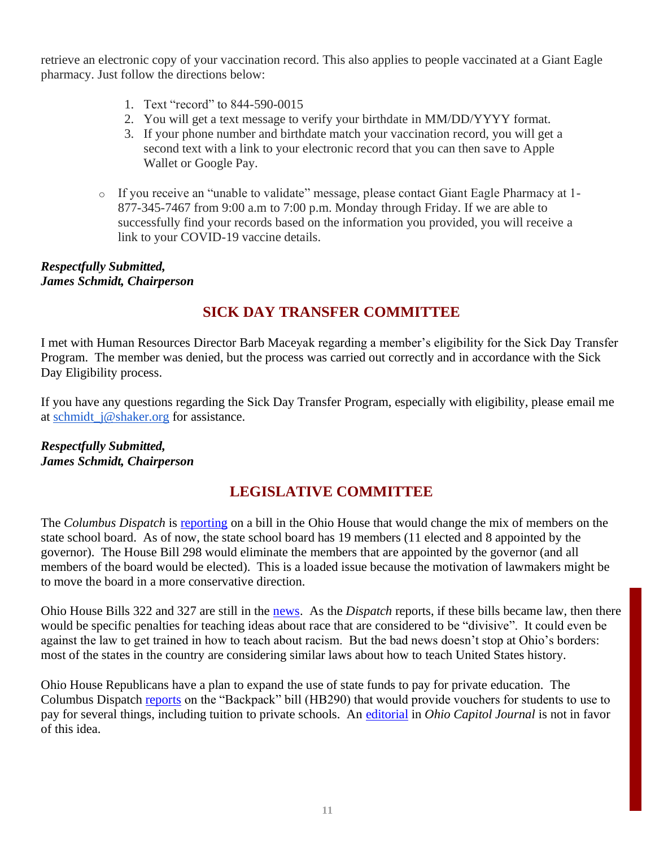retrieve an electronic copy of your vaccination record. This also applies to people vaccinated at a Giant Eagle pharmacy. Just follow the directions below:

- 1. Text "record" to 844-590-0015
- 2. You will get a text message to verify your birthdate in MM/DD/YYYY format.
- 3. If your phone number and birthdate match your vaccination record, you will get a second text with a link to your electronic record that you can then save to Apple Wallet or Google Pay.
- o If you receive an "unable to validate" message, please contact Giant Eagle Pharmacy at 1- 877-345-7467 from 9:00 a.m to 7:00 p.m. Monday through Friday. If we are able to successfully find your records based on the information you provided, you will receive a link to your COVID-19 vaccine details.

#### *Respectfully Submitted, James Schmidt, Chairperson*

# **SICK DAY TRANSFER COMMITTEE**

I met with Human Resources Director Barb Maceyak regarding a member's eligibility for the Sick Day Transfer Program. The member was denied, but the process was carried out correctly and in accordance with the Sick Day Eligibility process.

If you have any questions regarding the Sick Day Transfer Program, especially with eligibility, please email me at schmidt j@shaker.org for assistance.

#### *Respectfully Submitted, James Schmidt, Chairperson*

# **LEGISLATIVE COMMITTEE**

The *Columbus Dispatch* is [reporting](https://www.cleveland.com/open/2021/09/ohio-lawmakers-seek-to-reduce-state-board-of-education-from-19-to-11-members-after-race-and-equity-resolution.html) on a bill in the Ohio House that would change the mix of members on the state school board. As of now, the state school board has 19 members (11 elected and 8 appointed by the governor). The House Bill 298 would eliminate the members that are appointed by the governor (and all members of the board would be elected). This is a loaded issue because the motivation of lawmakers might be to move the board in a more conservative direction.

Ohio House Bills 322 and 327 are still in the [news.](https://www.dispatch.com/story/news/2021/09/22/ohio-bills-critical-race-theory/8419462002/) As the *Dispatch* reports, if these bills became law, then there would be specific penalties for teaching ideas about race that are considered to be "divisive". It could even be against the law to get trained in how to teach about racism. But the bad news doesn't stop at Ohio's borders: most of the states in the country are considering similar laws about how to teach United States history.

Ohio House Republicans have a plan to expand the use of state funds to pay for private education. The Columbus Dispatch [reports](https://www.dispatch.com/story/news/2021/10/06/ohio-republicans-reveal-plan-give-every-k-12-kid-school-voucher/6006177001/) on the "Backpack" bill (HB290) that would provide vouchers for students to use to pay for several things, including tuition to private schools. An [editorial](https://ohiocapitaljournal.com/2021/05/25/hb-290-a-backpack-full-of-empty-promises/) in *Ohio Capitol Journal* is not in favor of this idea.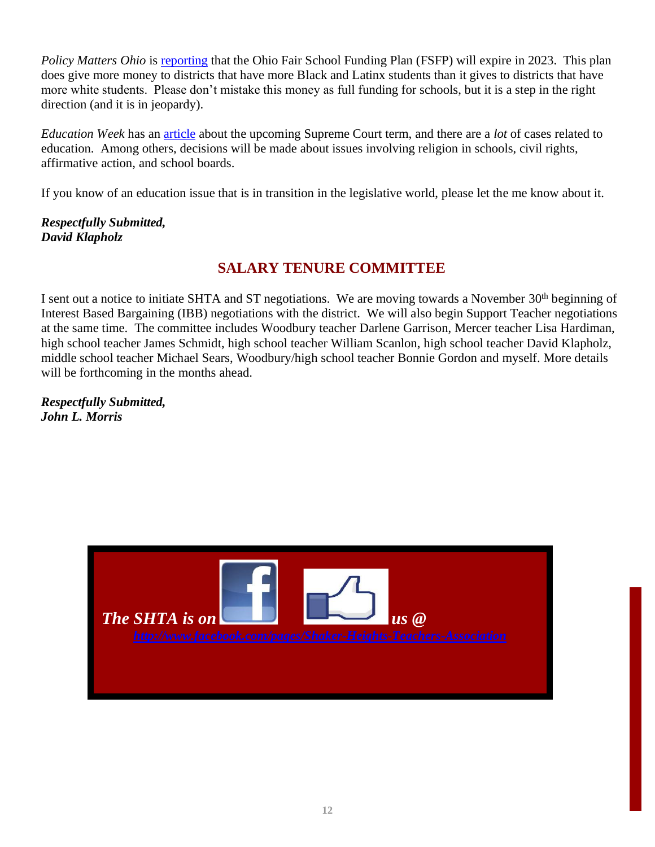*Policy Matters Ohio* is [reporting](https://www.policymattersohio.org/press-room/2021/09/16/fair-school-funding-plan-would-increase-resources-for-schools-in-black-brown-communities) that the Ohio Fair School Funding Plan (FSFP) will expire in 2023. This plan does give more money to districts that have more Black and Latinx students than it gives to districts that have more white students. Please don't mistake this money as full funding for schools, but it is a step in the right direction (and it is in jeopardy).

*Education Week* has an [article](https://www.edweek.org/policy-politics/here-are-the-upcoming-supreme-court-cases-that-matter-for-schools/2021/09) about the upcoming Supreme Court term, and there are a *lot* of cases related to education. Among others, decisions will be made about issues involving religion in schools, civil rights, affirmative action, and school boards.

If you know of an education issue that is in transition in the legislative world, please let the me know about it.

#### *Respectfully Submitted, David Klapholz*

## **SALARY TENURE COMMITTEE**

I sent out a notice to initiate SHTA and ST negotiations. We are moving towards a November 30<sup>th</sup> beginning of Interest Based Bargaining (IBB) negotiations with the district. We will also begin Support Teacher negotiations at the same time. The committee includes Woodbury teacher Darlene Garrison, Mercer teacher Lisa Hardiman, high school teacher James Schmidt, high school teacher William Scanlon, high school teacher David Klapholz, middle school teacher Michael Sears, Woodbury/high school teacher Bonnie Gordon and myself. More details will be forthcoming in the months ahead.

*Respectfully Submitted, John L. Morris*

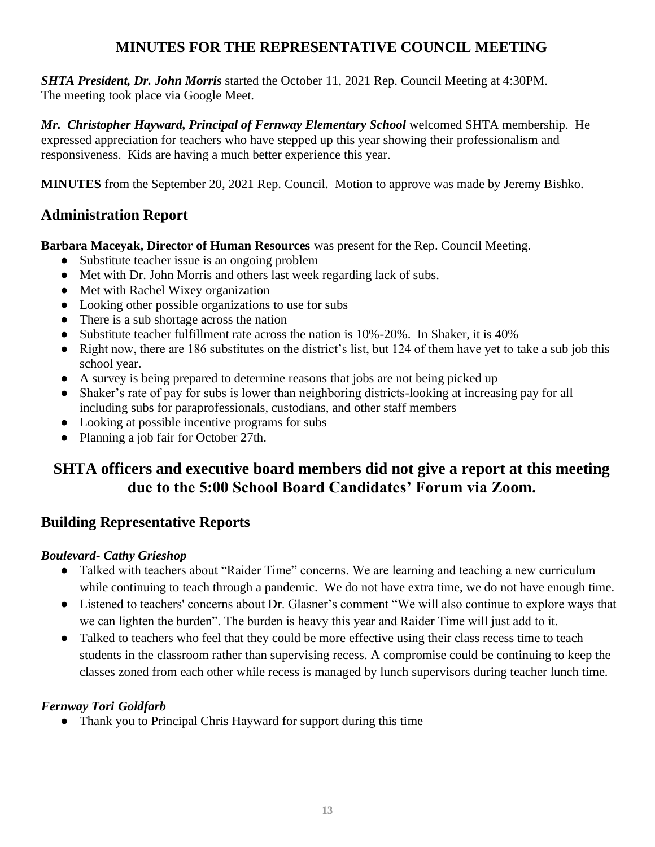# **MINUTES FOR THE REPRESENTATIVE COUNCIL MEETING**

*SHTA President, Dr. John Morris* started the October 11, 2021 Rep. Council Meeting at 4:30PM. The meeting took place via Google Meet.

*Mr. Christopher Hayward, Principal of Fernway Elementary School* welcomed SHTA membership. He expressed appreciation for teachers who have stepped up this year showing their professionalism and responsiveness. Kids are having a much better experience this year.

**MINUTES** from the September 20, 2021 Rep. Council. Motion to approve was made by Jeremy Bishko.

## **Administration Report**

**Barbara Maceyak, Director of Human Resources** was present for the Rep. Council Meeting.

- Substitute teacher issue is an ongoing problem
- Met with Dr. John Morris and others last week regarding lack of subs.
- Met with Rachel Wixey organization
- Looking other possible organizations to use for subs
- There is a sub shortage across the nation
- Substitute teacher fulfillment rate across the nation is 10%-20%. In Shaker, it is 40%
- Right now, there are 186 substitutes on the district's list, but 124 of them have yet to take a sub job this school year.
- A survey is being prepared to determine reasons that jobs are not being picked up
- Shaker's rate of pay for subs is lower than neighboring districts-looking at increasing pay for all including subs for paraprofessionals, custodians, and other staff members
- Looking at possible incentive programs for subs
- Planning a job fair for October 27th.

# **SHTA officers and executive board members did not give a report at this meeting due to the 5:00 School Board Candidates' Forum via Zoom.**

# **Building Representative Reports**

#### *Boulevard— Boulevard- Cathy Grieshop*

- Talked with teachers about "Raider Time" concerns. We are learning and teaching a new curriculum while continuing to teach through a pandemic. We do not have extra time, we do not have enough time.
- Listened to teachers' concerns about Dr. Glasner's comment "We will also continue to explore ways that we can lighten the burden". The burden is heavy this year and Raider Time will just add to it.
- Talked to teachers who feel that they could be more effective using their class recess time to teach students in the classroom rather than supervising recess. A compromise could be continuing to keep the classes zoned from each other while recess is managed by lunch supervisors during teacher lunch time.

#### *FernwaTori Fernway Tori Goldfarb*

• Thank you to Principal Chris Hayward for support during this time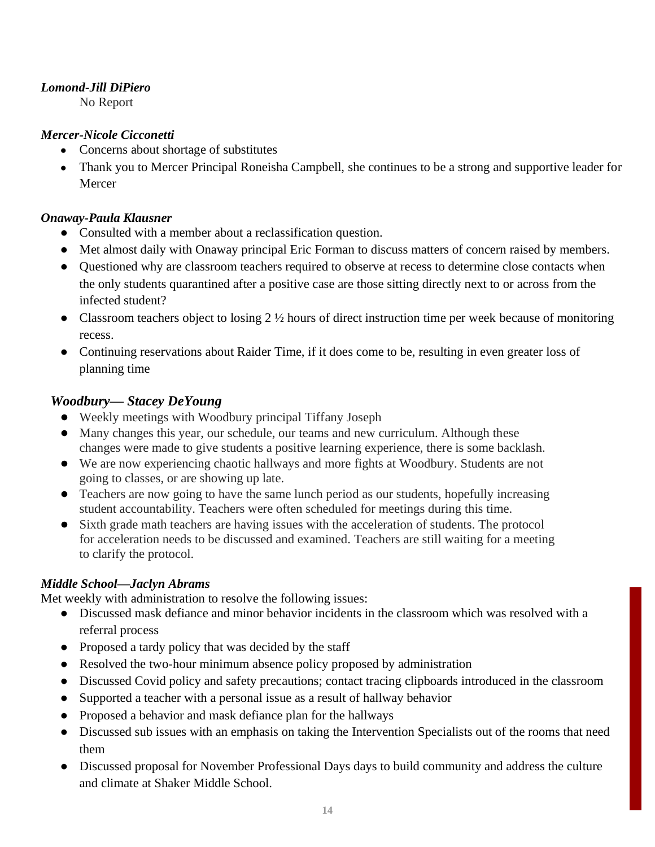#### *Lomond-Jill DiPiero*

No Report

#### *Mercer-Nicole Cicconetti*

- Concerns about shortage of substitutes
- Thank you to Mercer Principal Roneisha Campbell, she continues to be a strong and supportive leader for Mercer

#### *Onaway— Onaway-Paula Klausner*

- Consulted with a member about a reclassification question.
- Met almost daily with Onaway principal Eric Forman to discuss matters of concern raised by members.
- Questioned why are classroom teachers required to observe at recess to determine close contacts when the only students quarantined after a positive case are those sitting directly next to or across from the infected student?
- Classroom teachers object to losing  $2\frac{1}{2}$  hours of direct instruction time per week because of monitoring recess.
- Continuing reservations about Raider Time, if it does come to be, resulting in even greater loss of planning time

#### *Woodbury— Stacey DeYoung*

- Weekly meetings with Woodbury principal Tiffany Joseph
- Many changes this year, our schedule, our teams and new curriculum. Although these changes were made to give students a positive learning experience, there is some backlash.
- We are now experiencing chaotic hallways and more fights at Woodbury. Students are not going to classes, or are showing up late.
- Teachers are now going to have the same lunch period as our students, hopefully increasing student accountability. Teachers were often scheduled for meetings during this time.
- Sixth grade math teachers are having issues with the acceleration of students. The protocol for acceleration needs to be discussed and examined. Teachers are still waiting for a meeting to clarify the protocol.

#### *Middle School—Jaclyn Abrams*

Met weekly with administration to resolve the following issues:

- Discussed mask defiance and minor behavior incidents in the classroom which was resolved with a referral process
- Proposed a tardy policy that was decided by the staff
- Resolved the two-hour minimum absence policy proposed by administration
- Discussed Covid policy and safety precautions; contact tracing clipboards introduced in the classroom
- Supported a teacher with a personal issue as a result of hallway behavior
- Proposed a behavior and mask defiance plan for the hallways
- Discussed sub issues with an emphasis on taking the Intervention Specialists out of the rooms that need them
- Discussed proposal for November Professional Days days to build community and address the culture and climate at Shaker Middle School.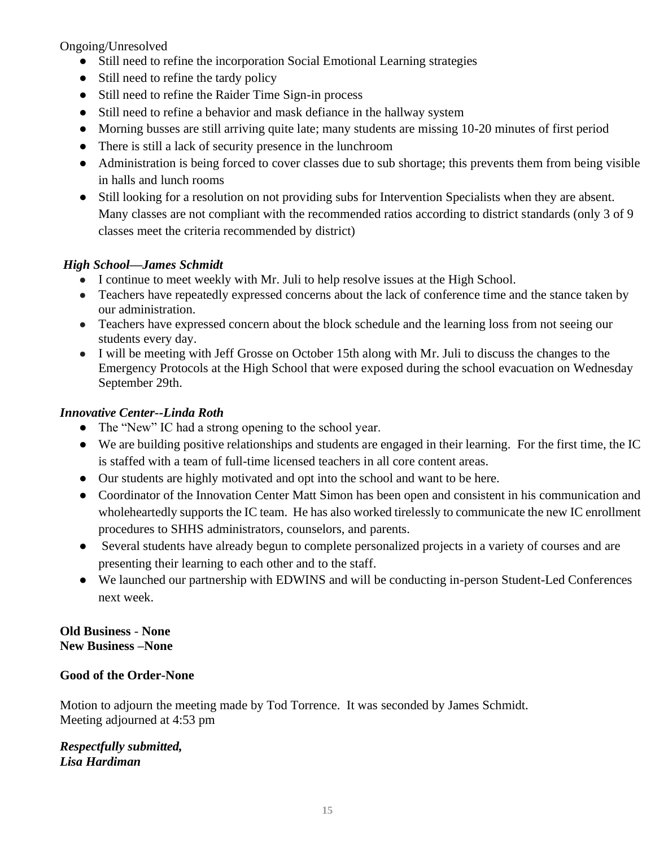Ongoing/Unresolved

- Still need to refine the incorporation Social Emotional Learning strategies
- Still need to refine the tardy policy
- Still need to refine the Raider Time Sign-in process
- Still need to refine a behavior and mask defiance in the hallway system
- Morning busses are still arriving quite late; many students are missing 10-20 minutes of first period
- There is still a lack of security presence in the lunchroom
- Administration is being forced to cover classes due to sub shortage; this prevents them from being visible in halls and lunch rooms
- Still looking for a resolution on not providing subs for Intervention Specialists when they are absent. Many classes are not compliant with the recommended ratios according to district standards (only 3 of 9 classes meet the criteria recommended by district)

#### *High School—James Schmidt*

- I continue to meet weekly with Mr. Juli to help resolve issues at the High School.
- Teachers have repeatedly expressed concerns about the lack of conference time and the stance taken by our administration.
- Teachers have expressed concern about the block schedule and the learning loss from not seeing our students every day.
- I will be meeting with Jeff Grosse on October 15th along with Mr. Juli to discuss the changes to the Emergency Protocols at the High School that were exposed during the school evacuation on Wednesday September 29th.

#### *Innovative Center--Linda Roth*

- The "New" IC had a strong opening to the school year.
- We are building positive relationships and students are engaged in their learning. For the first time, the IC is staffed with a team of full-time licensed teachers in all core content areas.
- Our students are highly motivated and opt into the school and want to be here.
- Coordinator of the Innovation Center Matt Simon has been open and consistent in his communication and wholeheartedly supports the IC team. He has also worked tirelessly to communicate the new IC enrollment procedures to SHHS administrators, counselors, and parents.
- Several students have already begun to complete personalized projects in a variety of courses and are presenting their learning to each other and to the staff.
- We launched our partnership with EDWINS and will be conducting in-person Student-Led Conferences next week.

#### **Old Business** - **None New Business –None**

#### **Good of the Order-None**

Motion to adjourn the meeting made by Tod Torrence. It was seconded by James Schmidt. Meeting adjourned at 4:53 pm

*Respectfully submitted, Lisa Hardiman*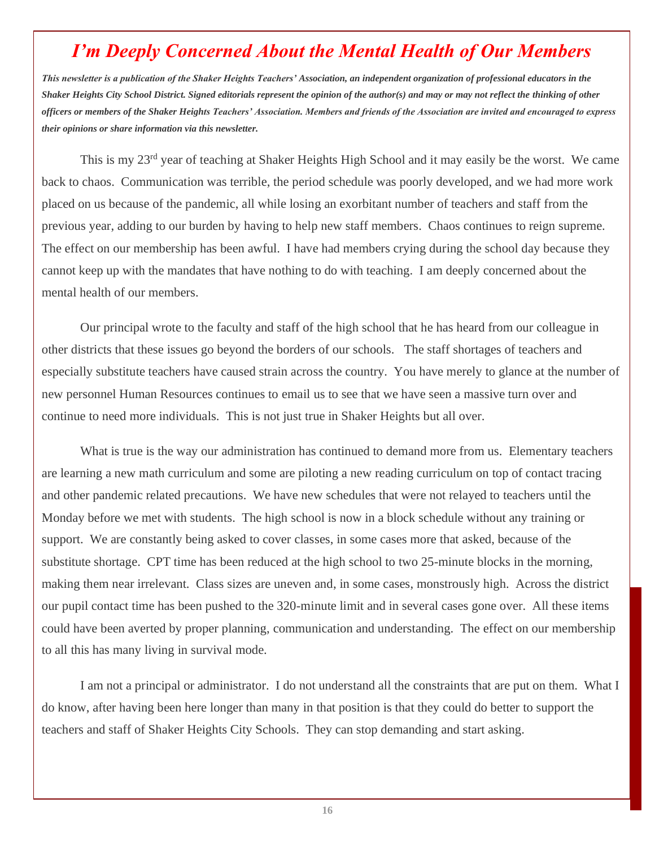# *I'm Deeply Concerned About the Mental Health of Our Members*

*This newsletter is a publication of the Shaker Heights Teachers' Association, an independent organization of professional educators in the Shaker Heights City School District. Signed editorials represent the opinion of the author(s) and may or may not reflect the thinking of other officers or members of the Shaker Heights Teachers' Association. Members and friends of the Association are invited and encouraged to express their opinions or share information via this newsletter.*

This is my 23rd year of teaching at Shaker Heights High School and it may easily be the worst. We came back to chaos. Communication was terrible, the period schedule was poorly developed, and we had more work placed on us because of the pandemic, all while losing an exorbitant number of teachers and staff from the previous year, adding to our burden by having to help new staff members. Chaos continues to reign supreme. The effect on our membership has been awful. I have had members crying during the school day because they cannot keep up with the mandates that have nothing to do with teaching. I am deeply concerned about the mental health of our members.

Our principal wrote to the faculty and staff of the high school that he has heard from our colleague in other districts that these issues go beyond the borders of our schools. The staff shortages of teachers and especially substitute teachers have caused strain across the country. You have merely to glance at the number of new personnel Human Resources continues to email us to see that we have seen a massive turn over and continue to need more individuals. This is not just true in Shaker Heights but all over.

What is true is the way our administration has continued to demand more from us. Elementary teachers are learning a new math curriculum and some are piloting a new reading curriculum on top of contact tracing and other pandemic related precautions. We have new schedules that were not relayed to teachers until the Monday before we met with students. The high school is now in a block schedule without any training or support. We are constantly being asked to cover classes, in some cases more that asked, because of the substitute shortage. CPT time has been reduced at the high school to two 25-minute blocks in the morning, making them near irrelevant. Class sizes are uneven and, in some cases, monstrously high. Across the district our pupil contact time has been pushed to the 320-minute limit and in several cases gone over. All these items could have been averted by proper planning, communication and understanding. The effect on our membership to all this has many living in survival mode.

I am not a principal or administrator. I do not understand all the constraints that are put on them. What I do know, after having been here longer than many in that position is that they could do better to support the teachers and staff of Shaker Heights City Schools. They can stop demanding and start asking.